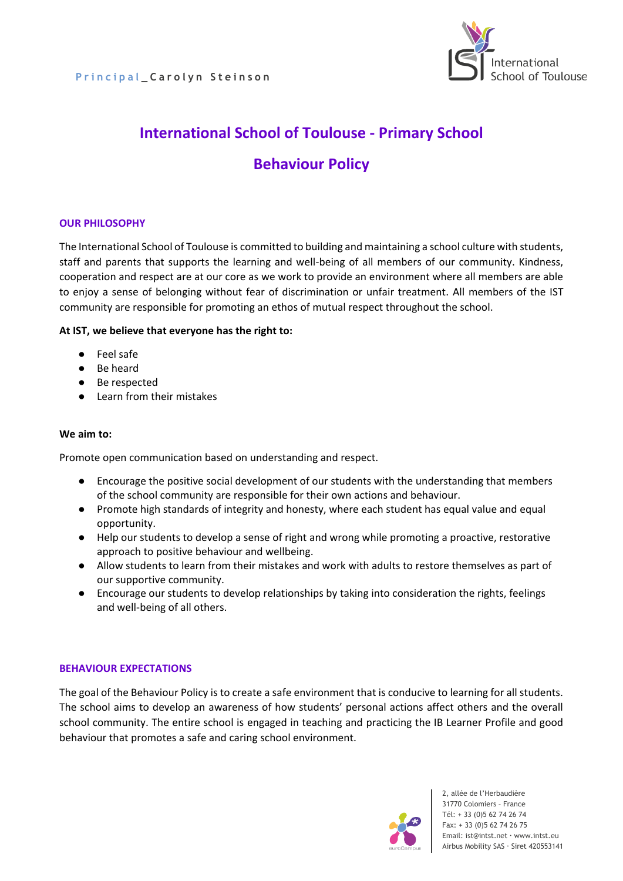

# **International School of Toulouse - Primary School Behaviour Policy**

## **OUR PHILOSOPHY**

The International School of Toulouse is committed to building and maintaining a school culture with students, staff and parents that supports the learning and well-being of all members of our community. Kindness, cooperation and respect are at our core as we work to provide an environment where all members are able to enjoy a sense of belonging without fear of discrimination or unfair treatment. All members of the IST community are responsible for promoting an ethos of mutual respect throughout the school.

#### **At IST, we believe that everyone has the right to:**

- Feel safe
- Be heard
- Be respected
- Learn from their mistakes

#### **We aim to:**

Promote open communication based on understanding and respect.

- Encourage the positive social development of our students with the understanding that members of the school community are responsible for their own actions and behaviour.
- Promote high standards of integrity and honesty, where each student has equal value and equal opportunity.
- Help our students to develop a sense of right and wrong while promoting a proactive, restorative approach to positive behaviour and wellbeing.
- Allow students to learn from their mistakes and work with adults to restore themselves as part of our supportive community.
- Encourage our students to develop relationships by taking into consideration the rights, feelings and well-being of all others.

#### **BEHAVIOUR EXPECTATIONS**

The goal of the Behaviour Policy is to create a safe environment that is conducive to learning for all students. The school aims to develop an awareness of how students' personal actions affect others and the overall school community. The entire school is engaged in teaching and practicing the IB Learner Profile and good behaviour that promotes a safe and caring school environment.

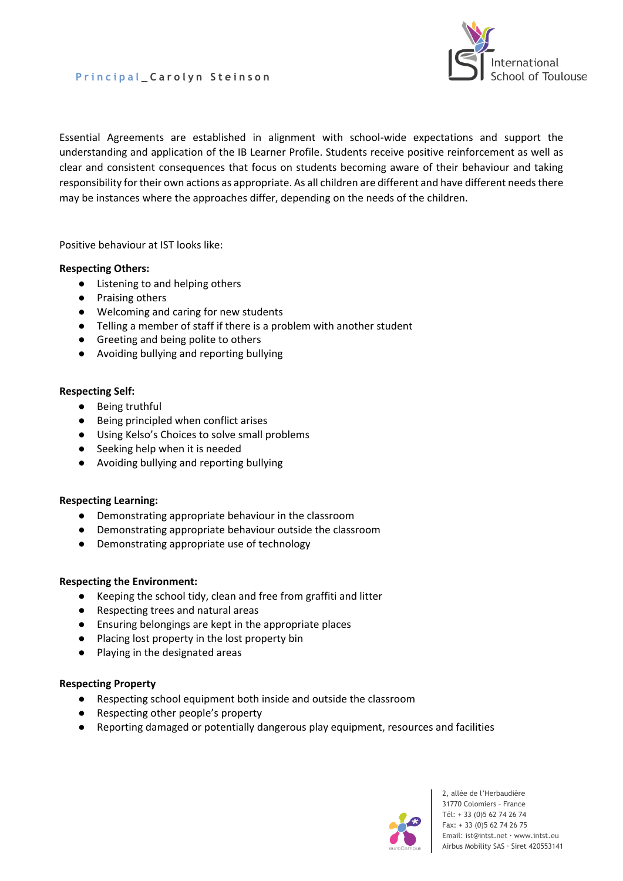



Essential Agreements are established in alignment with school-wide expectations and support the understanding and application of the IB Learner Profile. Students receive positive reinforcement as well as clear and consistent consequences that focus on students becoming aware of their behaviour and taking responsibility for their own actions as appropriate. As all children are different and have different needs there may be instances where the approaches differ, depending on the needs of the children.

Positive behaviour at IST looks like:

#### **Respecting Others:**

- Listening to and helping others
- Praising others
- Welcoming and caring for new students
- Telling a member of staff if there is a problem with another student
- Greeting and being polite to others
- Avoiding bullying and reporting bullying

#### **Respecting Self:**

- Being truthful
- Being principled when conflict arises
- Using Kelso's Choices to solve small problems
- Seeking help when it is needed
- Avoiding bullying and reporting bullying

#### **Respecting Learning:**

- Demonstrating appropriate behaviour in the classroom
- Demonstrating appropriate behaviour outside the classroom
- Demonstrating appropriate use of technology

#### **Respecting the Environment:**

- Keeping the school tidy, clean and free from graffiti and litter
- Respecting trees and natural areas
- Ensuring belongings are kept in the appropriate places
- Placing lost property in the lost property bin
- Playing in the designated areas

#### **Respecting Property**

- Respecting school equipment both inside and outside the classroom
- Respecting other people's property
- Reporting damaged or potentially dangerous play equipment, resources and facilities

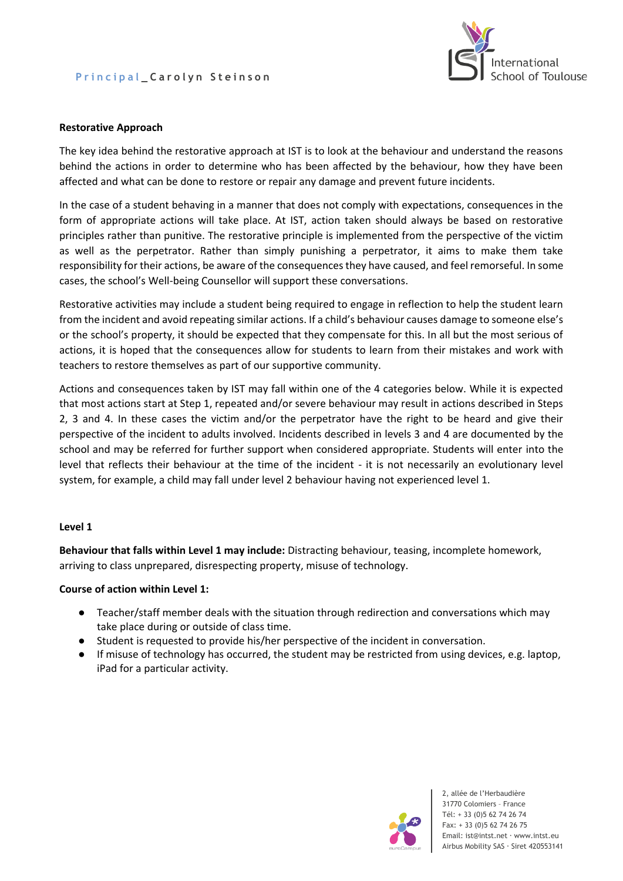## **P r i n c i p a l \_ C a r o l y n S t e i n s o n**



#### **Restorative Approach**

The key idea behind the restorative approach at IST is to look at the behaviour and understand the reasons behind the actions in order to determine who has been affected by the behaviour, how they have been affected and what can be done to restore or repair any damage and prevent future incidents.

In the case of a student behaving in a manner that does not comply with expectations, consequences in the form of appropriate actions will take place. At IST, action taken should always be based on restorative principles rather than punitive. The restorative principle is implemented from the perspective of the victim as well as the perpetrator. Rather than simply punishing a perpetrator, it aims to make them take responsibility for their actions, be aware of the consequences they have caused, and feel remorseful. In some cases, the school's Well-being Counsellor will support these conversations.

Restorative activities may include a student being required to engage in reflection to help the student learn from the incident and avoid repeating similar actions. If a child's behaviour causes damage to someone else's or the school's property, it should be expected that they compensate for this. In all but the most serious of actions, it is hoped that the consequences allow for students to learn from their mistakes and work with teachers to restore themselves as part of our supportive community.

Actions and consequences taken by IST may fall within one of the 4 categories below. While it is expected that most actions start at Step 1, repeated and/or severe behaviour may result in actions described in Steps 2, 3 and 4. In these cases the victim and/or the perpetrator have the right to be heard and give their perspective of the incident to adults involved. Incidents described in levels 3 and 4 are documented by the school and may be referred for further support when considered appropriate. Students will enter into the level that reflects their behaviour at the time of the incident - it is not necessarily an evolutionary level system, for example, a child may fall under level 2 behaviour having not experienced level 1.

#### **Level 1**

**Behaviour that falls within Level 1 may include:** Distracting behaviour, teasing, incomplete homework, arriving to class unprepared, disrespecting property, misuse of technology.

#### **Course of action within Level 1:**

- Teacher/staff member deals with the situation through redirection and conversations which may take place during or outside of class time.
- Student is requested to provide his/her perspective of the incident in conversation.
- If misuse of technology has occurred, the student may be restricted from using devices, e.g. laptop, iPad for a particular activity.

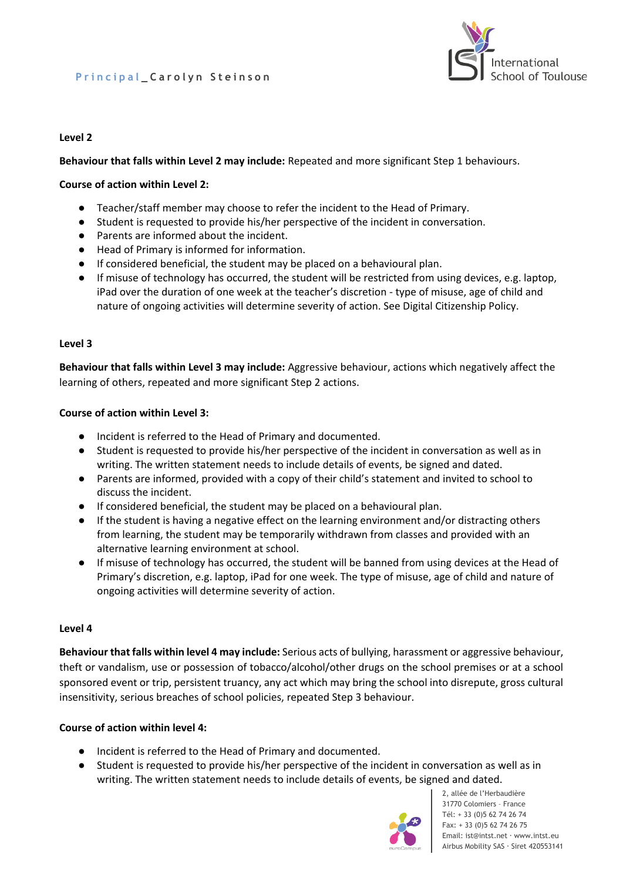## **P r i n c i p a l \_ C a r o l y n S t e i n s o n**



#### **Level 2**

**Behaviour that falls within Level 2 may include:** Repeated and more significant Step 1 behaviours.

#### **Course of action within Level 2:**

- Teacher/staff member may choose to refer the incident to the Head of Primary.
- Student is requested to provide his/her perspective of the incident in conversation.
- Parents are informed about the incident.
- Head of Primary is informed for information.
- If considered beneficial, the student may be placed on a behavioural plan.
- If misuse of technology has occurred, the student will be restricted from using devices, e.g. laptop, iPad over the duration of one week at the teacher's discretion - type of misuse, age of child and nature of ongoing activities will determine severity of action. See Digital Citizenship Policy.

#### **Level 3**

**Behaviour that falls within Level 3 may include:** Aggressive behaviour, actions which negatively affect the learning of others, repeated and more significant Step 2 actions.

#### **Course of action within Level 3:**

- Incident is referred to the Head of Primary and documented.
- Student is requested to provide his/her perspective of the incident in conversation as well as in writing. The written statement needs to include details of events, be signed and dated.
- Parents are informed, provided with a copy of their child's statement and invited to school to discuss the incident.
- If considered beneficial, the student may be placed on a behavioural plan.
- If the student is having a negative effect on the learning environment and/or distracting others from learning, the student may be temporarily withdrawn from classes and provided with an alternative learning environment at school.
- If misuse of technology has occurred, the student will be banned from using devices at the Head of Primary's discretion, e.g. laptop, iPad for one week. The type of misuse, age of child and nature of ongoing activities will determine severity of action.

#### **Level 4**

**Behaviour that falls within level 4 may include:** Serious acts of bullying, harassment or aggressive behaviour, theft or vandalism, use or possession of tobacco/alcohol/other drugs on the school premises or at a school sponsored event or trip, persistent truancy, any act which may bring the school into disrepute, gross cultural insensitivity, serious breaches of school policies, repeated Step 3 behaviour.

#### **Course of action within level 4:**

- Incident is referred to the Head of Primary and documented.
- Student is requested to provide his/her perspective of the incident in conversation as well as in writing. The written statement needs to include details of events, be signed and dated.

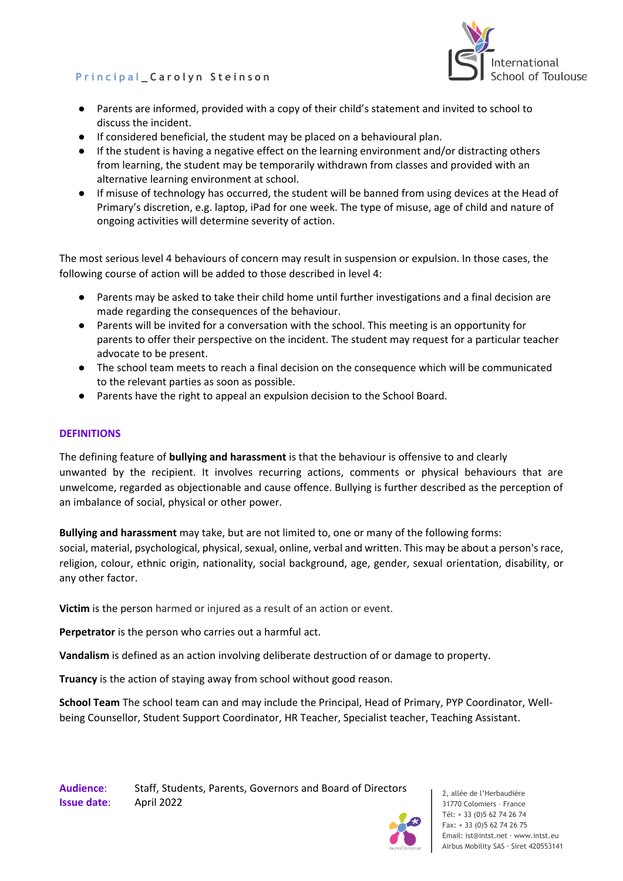## **P r i n c i p a l \_ C a r o l y n S t e i n s o n**



- Parents are informed, provided with a copy of their child's statement and invited to school to discuss the incident.
- If considered beneficial, the student may be placed on a behavioural plan.
- If the student is having a negative effect on the learning environment and/or distracting others from learning, the student may be temporarily withdrawn from classes and provided with an alternative learning environment at school.
- If misuse of technology has occurred, the student will be banned from using devices at the Head of Primary's discretion, e.g. laptop, iPad for one week. The type of misuse, age of child and nature of ongoing activities will determine severity of action.

The most serious level 4 behaviours of concern may result in suspension or expulsion. In those cases, the following course of action will be added to those described in level 4:

- Parents may be asked to take their child home until further investigations and a final decision are made regarding the consequences of the behaviour.
- Parents will be invited for a conversation with the school. This meeting is an opportunity for parents to offer their perspective on the incident. The student may request for a particular teacher advocate to be present.
- The school team meets to reach a final decision on the consequence which will be communicated to the relevant parties as soon as possible.
- Parents have the right to appeal an expulsion decision to the School Board.

## **DEFINITIONS**

The defining feature of **bullying and harassment** is that the behaviour is offensive to and clearly unwanted by the recipient. It involves recurring actions, comments or physical behaviours that are unwelcome, regarded as objectionable and cause offence. Bullying is further described as the perception of an imbalance of social, physical or other power.

**Bullying and harassment** may take, but are not limited to, one or many of the following forms: social, material, psychological, physical, sexual, online, verbal and written. This may be about a person's race, religion, colour, ethnic origin, nationality, social background, age, gender, sexual orientation, disability, or any other factor.

**Victim** is the person harmed or injured as a result of an action or event.

**Perpetrator** is the person who carries out a harmful act.

**Vandalism** is defined as an action involving deliberate destruction of or damage to property.

**Truancy** is the action of staying away from school without good reason.

**School Team** The school team can and may include the Principal, Head of Primary, PYP Coordinator, Wellbeing Counsellor, Student Support Coordinator, HR Teacher, Specialist teacher, Teaching Assistant.

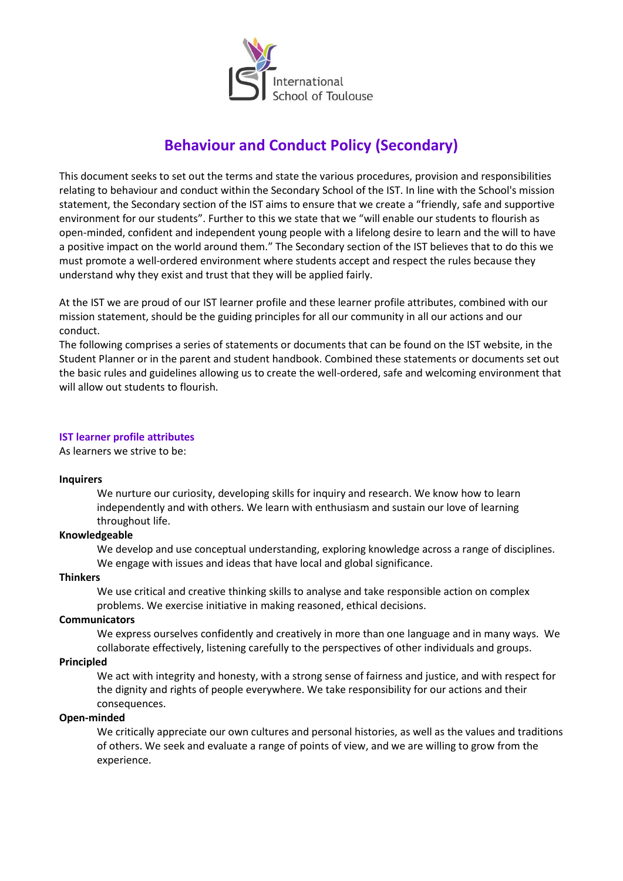

## **Behaviour and Conduct Policy (Secondary)**

This document seeks to set out the terms and state the various procedures, provision and responsibilities relating to behaviour and conduct within the Secondary School of the IST. In line with the School's mission statement, the Secondary section of the IST aims to ensure that we create a "friendly, safe and supportive environment for our students". Further to this we state that we "will enable our students to flourish as open-minded, confident and independent young people with a lifelong desire to learn and the will to have a positive impact on the world around them." The Secondary section of the IST believes that to do this we must promote a well-ordered environment where students accept and respect the rules because they understand why they exist and trust that they will be applied fairly.

At the IST we are proud of our IST learner profile and these learner profile attributes, combined with our mission statement, should be the guiding principles for all our community in all our actions and our conduct.

The following comprises a series of statements or documents that can be found on the IST website, in the Student Planner or in the parent and student handbook. Combined these statements or documents set out the basic rules and guidelines allowing us to create the well-ordered, safe and welcoming environment that will allow out students to flourish.

#### **IST learner profile attributes**

As learners we strive to be:

#### **Inquirers**

We nurture our curiosity, developing skills for inquiry and research. We know how to learn independently and with others. We learn with enthusiasm and sustain our love of learning throughout life.

#### **Knowledgeable**

We develop and use conceptual understanding, exploring knowledge across a range of disciplines. We engage with issues and ideas that have local and global significance.

#### **Thinkers**

We use critical and creative thinking skills to analyse and take responsible action on complex problems. We exercise initiative in making reasoned, ethical decisions.

#### **Communicators**

We express ourselves confidently and creatively in more than one language and in many ways. We collaborate effectively, listening carefully to the perspectives of other individuals and groups.

#### **Principled**

We act with integrity and honesty, with a strong sense of fairness and justice, and with respect for the dignity and rights of people everywhere. We take responsibility for our actions and their consequences.

#### **Open-minded**

We critically appreciate our own cultures and personal histories, as well as the values and traditions of others. We seek and evaluate a range of points of view, and we are willing to grow from the experience.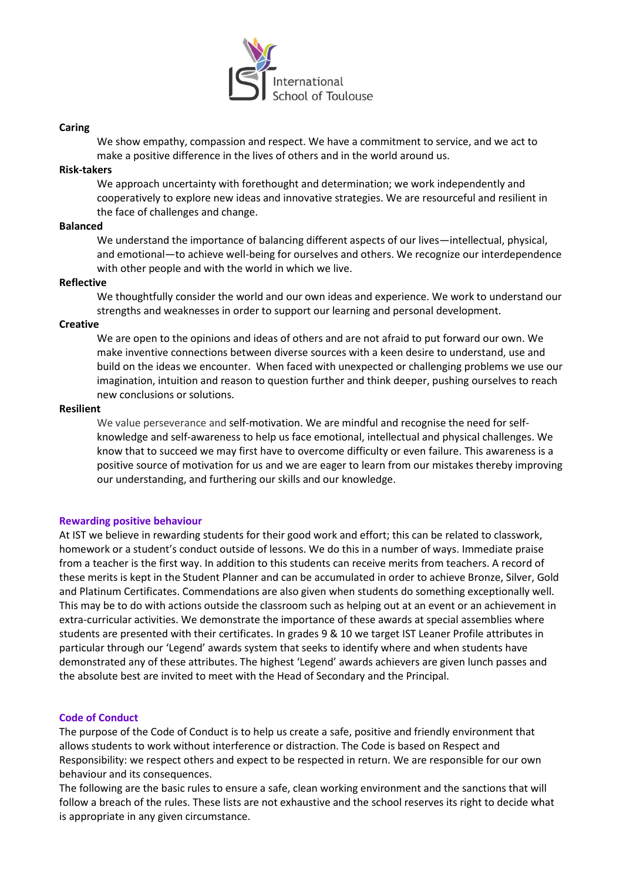

#### **Caring**

We show empathy, compassion and respect. We have a commitment to service, and we act to make a positive difference in the lives of others and in the world around us.

#### **Risk-takers**

We approach uncertainty with forethought and determination; we work independently and cooperatively to explore new ideas and innovative strategies. We are resourceful and resilient in the face of challenges and change.

#### **Balanced**

We understand the importance of balancing different aspects of our lives—intellectual, physical, and emotional—to achieve well-being for ourselves and others. We recognize our interdependence with other people and with the world in which we live.

#### **Reflective**

We thoughtfully consider the world and our own ideas and experience. We work to understand our strengths and weaknesses in order to support our learning and personal development.

#### **Creative**

We are open to the opinions and ideas of others and are not afraid to put forward our own. We make inventive connections between diverse sources with a keen desire to understand, use and build on the ideas we encounter. When faced with unexpected or challenging problems we use our imagination, intuition and reason to question further and think deeper, pushing ourselves to reach new conclusions or solutions.

#### **Resilient**

We value perseverance and self-motivation. We are mindful and recognise the need for selfknowledge and self-awareness to help us face emotional, intellectual and physical challenges. We know that to succeed we may first have to overcome difficulty or even failure. This awareness is a positive source of motivation for us and we are eager to learn from our mistakes thereby improving our understanding, and furthering our skills and our knowledge.

#### **Rewarding positive behaviour**

At IST we believe in rewarding students for their good work and effort; this can be related to classwork, homework or a student's conduct outside of lessons. We do this in a number of ways. Immediate praise from a teacher is the first way. In addition to this students can receive merits from teachers. A record of these merits is kept in the Student Planner and can be accumulated in order to achieve Bronze, Silver, Gold and Platinum Certificates. Commendations are also given when students do something exceptionally well. This may be to do with actions outside the classroom such as helping out at an event or an achievement in extra-curricular activities. We demonstrate the importance of these awards at special assemblies where students are presented with their certificates. In grades 9 & 10 we target IST Leaner Profile attributes in particular through our 'Legend' awards system that seeks to identify where and when students have demonstrated any of these attributes. The highest 'Legend' awards achievers are given lunch passes and the absolute best are invited to meet with the Head of Secondary and the Principal.

#### **Code of Conduct**

The purpose of the Code of Conduct is to help us create a safe, positive and friendly environment that allows students to work without interference or distraction. The Code is based on Respect and Responsibility: we respect others and expect to be respected in return. We are responsible for our own behaviour and its consequences.

The following are the basic rules to ensure a safe, clean working environment and the sanctions that will follow a breach of the rules. These lists are not exhaustive and the school reserves its right to decide what is appropriate in any given circumstance.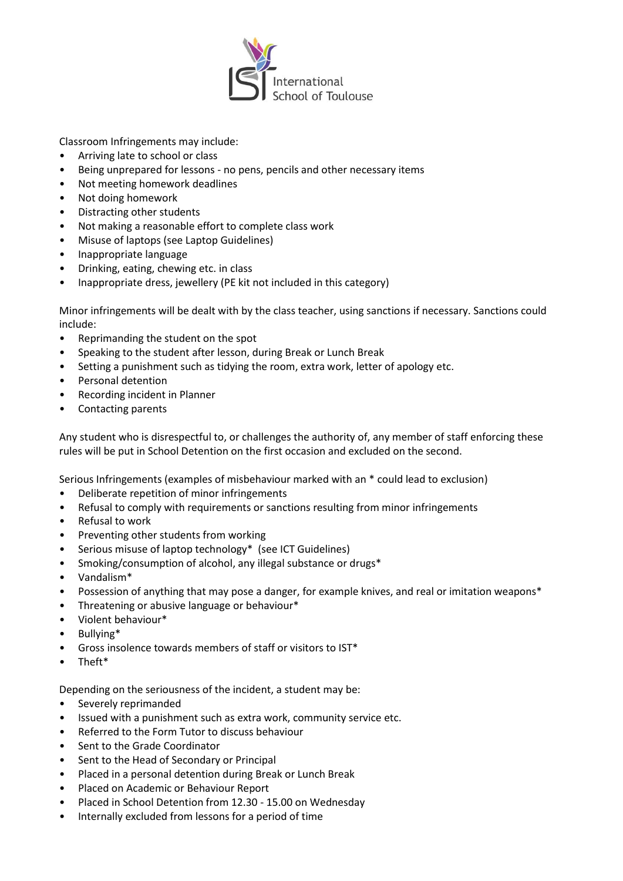

Classroom Infringements may include:

- Arriving late to school or class
- Being unprepared for lessons no pens, pencils and other necessary items
- Not meeting homework deadlines
- Not doing homework
- Distracting other students
- Not making a reasonable effort to complete class work
- Misuse of laptops (see Laptop Guidelines)
- Inappropriate language
- Drinking, eating, chewing etc. in class
- Inappropriate dress, jewellery (PE kit not included in this category)

Minor infringements will be dealt with by the class teacher, using sanctions if necessary. Sanctions could include:

- Reprimanding the student on the spot
- Speaking to the student after lesson, during Break or Lunch Break
- Setting a punishment such as tidying the room, extra work, letter of apology etc.
- Personal detention
- Recording incident in Planner
- Contacting parents

Any student who is disrespectful to, or challenges the authority of, any member of staff enforcing these rules will be put in School Detention on the first occasion and excluded on the second.

Serious Infringements (examples of misbehaviour marked with an \* could lead to exclusion)

- Deliberate repetition of minor infringements
- Refusal to comply with requirements or sanctions resulting from minor infringements
- Refusal to work
- Preventing other students from working
- Serious misuse of laptop technology\* (see ICT Guidelines)
- Smoking/consumption of alcohol, any illegal substance or drugs\*
- Vandalism\*
- Possession of anything that may pose a danger, for example knives, and real or imitation weapons\*
- Threatening or abusive language or behaviour\*
- Violent behaviour\*
- Bullying\*
- Gross insolence towards members of staff or visitors to IST\*
- Theft\*

Depending on the seriousness of the incident, a student may be:

- Severely reprimanded
- Issued with a punishment such as extra work, community service etc.
- Referred to the Form Tutor to discuss behaviour
- Sent to the Grade Coordinator
- Sent to the Head of Secondary or Principal
- Placed in a personal detention during Break or Lunch Break
- Placed on Academic or Behaviour Report
- Placed in School Detention from 12.30 15.00 on Wednesday
- Internally excluded from lessons for a period of time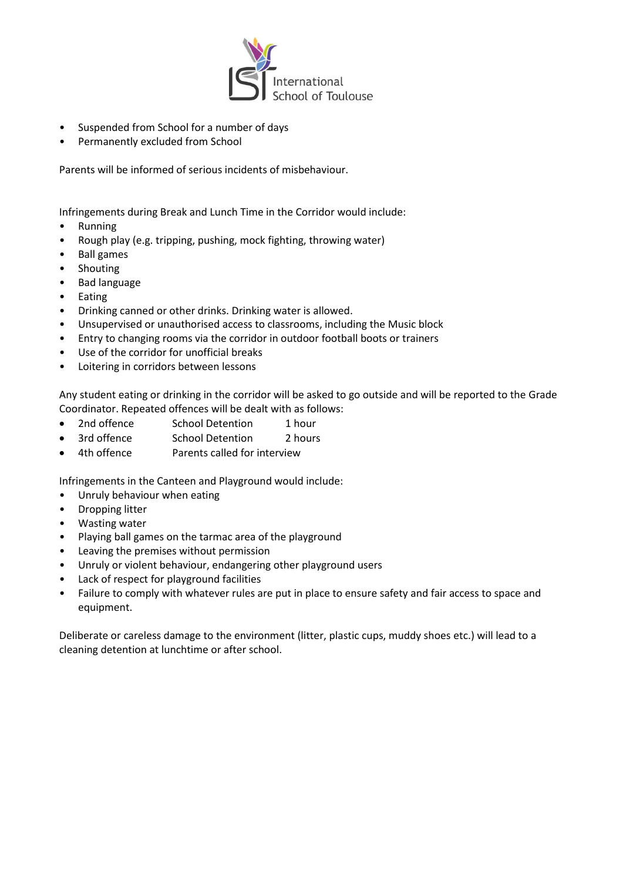

- Suspended from School for a number of days
- Permanently excluded from School

Parents will be informed of serious incidents of misbehaviour.

Infringements during Break and Lunch Time in the Corridor would include:

- Running
- Rough play (e.g. tripping, pushing, mock fighting, throwing water)
- Ball games
- Shouting
- Bad language
- Eating
- Drinking canned or other drinks. Drinking water is allowed.
- Unsupervised or unauthorised access to classrooms, including the Music block
- Entry to changing rooms via the corridor in outdoor football boots or trainers
- Use of the corridor for unofficial breaks
- Loitering in corridors between lessons

Any student eating or drinking in the corridor will be asked to go outside and will be reported to the Grade Coordinator. Repeated offences will be dealt with as follows:

- 2nd offence School Detention 1 hour
- 3rd offence School Detention 2 hours
- 4th offence Parents called for interview

Infringements in the Canteen and Playground would include:

- Unruly behaviour when eating
- Dropping litter
- Wasting water
- Playing ball games on the tarmac area of the playground
- Leaving the premises without permission
- Unruly or violent behaviour, endangering other playground users
- Lack of respect for playground facilities
- Failure to comply with whatever rules are put in place to ensure safety and fair access to space and equipment.

Deliberate or careless damage to the environment (litter, plastic cups, muddy shoes etc.) will lead to a cleaning detention at lunchtime or after school.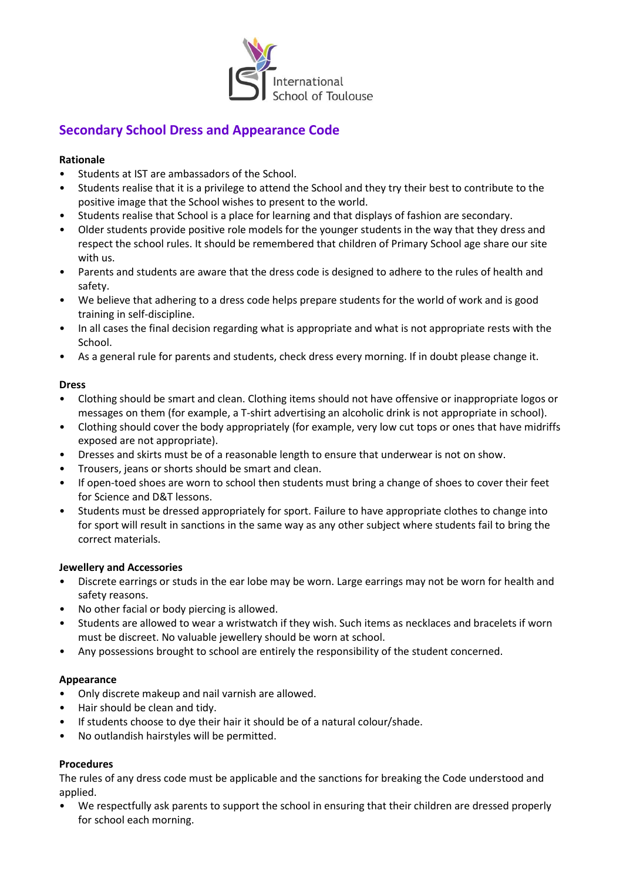

## **Secondary School Dress and Appearance Code**

## **Rationale**

- Students at IST are ambassadors of the School.
- Students realise that it is a privilege to attend the School and they try their best to contribute to the positive image that the School wishes to present to the world.
- Students realise that School is a place for learning and that displays of fashion are secondary.
- Older students provide positive role models for the younger students in the way that they dress and respect the school rules. It should be remembered that children of Primary School age share our site with us.
- Parents and students are aware that the dress code is designed to adhere to the rules of health and safety.
- We believe that adhering to a dress code helps prepare students for the world of work and is good training in self-discipline.
- In all cases the final decision regarding what is appropriate and what is not appropriate rests with the School.
- As a general rule for parents and students, check dress every morning. If in doubt please change it.

#### **Dress**

- Clothing should be smart and clean. Clothing items should not have offensive or inappropriate logos or messages on them (for example, a T-shirt advertising an alcoholic drink is not appropriate in school).
- Clothing should cover the body appropriately (for example, very low cut tops or ones that have midriffs exposed are not appropriate).
- Dresses and skirts must be of a reasonable length to ensure that underwear is not on show.
- Trousers, jeans or shorts should be smart and clean.
- If open-toed shoes are worn to school then students must bring a change of shoes to cover their feet for Science and D&T lessons.
- Students must be dressed appropriately for sport. Failure to have appropriate clothes to change into for sport will result in sanctions in the same way as any other subject where students fail to bring the correct materials.

#### **Jewellery and Accessories**

- Discrete earrings or studs in the ear lobe may be worn. Large earrings may not be worn for health and safety reasons.
- No other facial or body piercing is allowed.
- Students are allowed to wear a wristwatch if they wish. Such items as necklaces and bracelets if worn must be discreet. No valuable jewellery should be worn at school.
- Any possessions brought to school are entirely the responsibility of the student concerned.

#### **Appearance**

- Only discrete makeup and nail varnish are allowed.
- Hair should be clean and tidy.
- If students choose to dye their hair it should be of a natural colour/shade.
- No outlandish hairstyles will be permitted.

## **Procedures**

The rules of any dress code must be applicable and the sanctions for breaking the Code understood and applied.

• We respectfully ask parents to support the school in ensuring that their children are dressed properly for school each morning.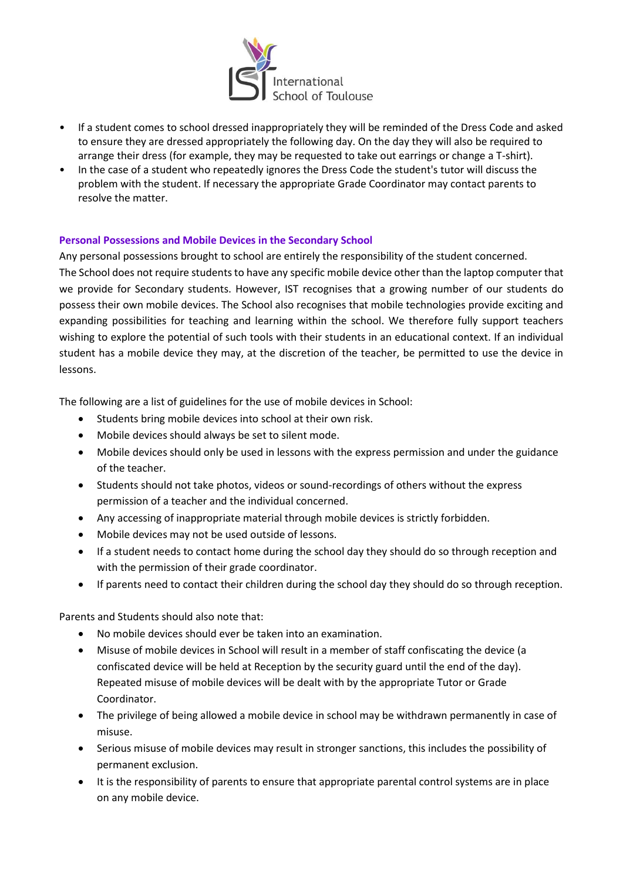

- If a student comes to school dressed inappropriately they will be reminded of the Dress Code and asked to ensure they are dressed appropriately the following day. On the day they will also be required to arrange their dress (for example, they may be requested to take out earrings or change a T-shirt).
- In the case of a student who repeatedly ignores the Dress Code the student's tutor will discuss the problem with the student. If necessary the appropriate Grade Coordinator may contact parents to resolve the matter.

#### **Personal Possessions and Mobile Devices in the Secondary School**

Any personal possessions brought to school are entirely the responsibility of the student concerned. The School does not require students to have any specific mobile device other than the laptop computer that we provide for Secondary students. However, IST recognises that a growing number of our students do possess their own mobile devices. The School also recognises that mobile technologies provide exciting and expanding possibilities for teaching and learning within the school. We therefore fully support teachers wishing to explore the potential of such tools with their students in an educational context. If an individual student has a mobile device they may, at the discretion of the teacher, be permitted to use the device in lessons.

The following are a list of guidelines for the use of mobile devices in School:

- Students bring mobile devices into school at their own risk.
- Mobile devices should always be set to silent mode.
- Mobile devices should only be used in lessons with the express permission and under the guidance of the teacher.
- Students should not take photos, videos or sound-recordings of others without the express permission of a teacher and the individual concerned.
- Any accessing of inappropriate material through mobile devices is strictly forbidden.
- Mobile devices may not be used outside of lessons.
- If a student needs to contact home during the school day they should do so through reception and with the permission of their grade coordinator.
- If parents need to contact their children during the school day they should do so through reception.

Parents and Students should also note that:

- No mobile devices should ever be taken into an examination.
- Misuse of mobile devices in School will result in a member of staff confiscating the device (a confiscated device will be held at Reception by the security guard until the end of the day). Repeated misuse of mobile devices will be dealt with by the appropriate Tutor or Grade Coordinator.
- The privilege of being allowed a mobile device in school may be withdrawn permanently in case of misuse.
- Serious misuse of mobile devices may result in stronger sanctions, this includes the possibility of permanent exclusion.
- It is the responsibility of parents to ensure that appropriate parental control systems are in place on any mobile device.